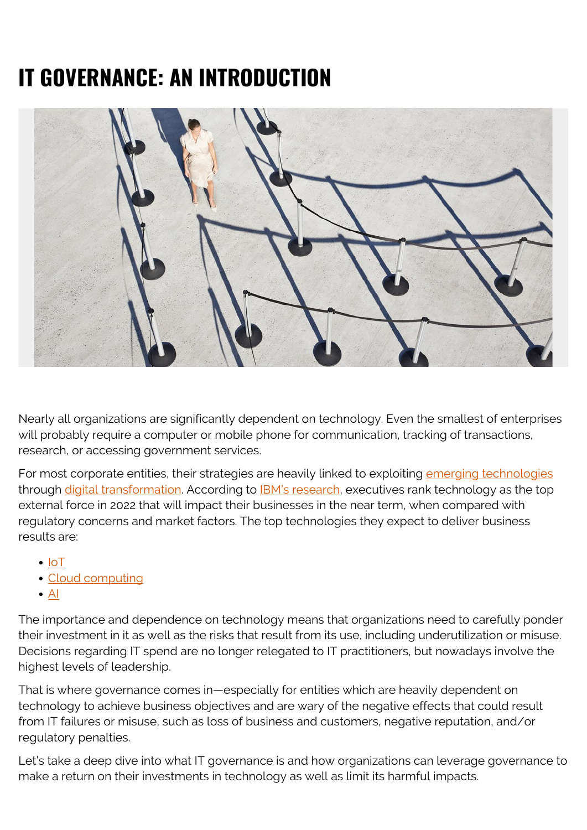# **IT GOVERNANCE: AN INTRODUCTION**



Nearly all organizations are significantly dependent on technology. Even the smallest of enterprises will probably require a computer or mobile phone for communication, tracking of transactions, research, or accessing government services.

For most corporate entities, their strategies are heavily linked to exploiting [emerging technologies](https://blogs.bmc.com/blogs/what-is-digital-transformation/) through *digital transformation*. According to **IBM's research**, executives rank technology as the top external force in 2022 that will impact their businesses in the near term, when compared with regulatory concerns and market factors. The top technologies they expect to deliver business results are:

- $\cdot$  [IoT](https://blogs.bmc.com/blogs/iot-internet-of-things/)
- [Cloud computing](https://blogs.bmc.com/blogs/saas-vs-paas-vs-iaas-whats-the-difference-and-how-to-choose/)
- $\bullet$  [AI](https://blogs.bmc.com/blogs/artificial-intelligence-vs-machine-learning/)

The importance and dependence on technology means that organizations need to carefully ponder their investment in it as well as the risks that result from its use, including underutilization or misuse. Decisions regarding IT spend are no longer relegated to IT practitioners, but nowadays involve the highest levels of leadership.

That is where governance comes in—especially for entities which are heavily dependent on technology to achieve business objectives and are wary of the negative effects that could result from IT failures or misuse, such as loss of business and customers, negative reputation, and/or regulatory penalties.

Let's take a deep dive into what IT governance is and how organizations can leverage governance to make a return on their investments in technology as well as limit its harmful impacts.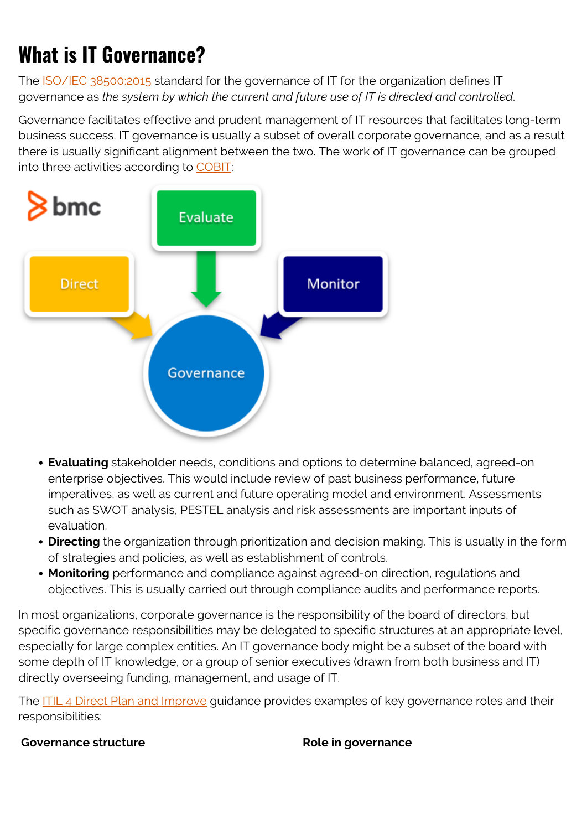## **What is IT Governance?**

The **ISO/IEC 38500:2015** standard for the governance of IT for the organization defines IT governance as *the system by which the current and future use of IT is directed and controlled*.

Governance facilitates effective and prudent management of IT resources that facilitates long-term business success. IT governance is usually a subset of overall corporate governance, and as a result there is usually significant alignment between the two. The work of IT governance can be grouped into three activities according to [COBIT:](https://blogs.bmc.com/blogs/cobit/)



- **Evaluating** stakeholder needs, conditions and options to determine balanced, agreed-on enterprise objectives. This would include review of past business performance, future imperatives, as well as current and future operating model and environment. Assessments such as SWOT analysis, PESTEL analysis and risk assessments are important inputs of evaluation.
- **Directing** the organization through prioritization and decision making. This is usually in the form of strategies and policies, as well as establishment of controls.
- **Monitoring** performance and compliance against agreed-on direction, regulations and objectives. This is usually carried out through compliance audits and performance reports.

In most organizations, corporate governance is the responsibility of the board of directors, but specific governance responsibilities may be delegated to specific structures at an appropriate level, especially for large complex entities. An IT governance body might be a subset of the board with some depth of IT knowledge, or a group of senior executives (drawn from both business and IT) directly overseeing funding, management, and usage of IT.

The [ITIL 4 Direct Plan and Improve](https://www.axelos.com/certifications/itil-service-management/managing-professional/direct-plan-and-improve) guidance provides examples of key governance roles and their responsibilities:

### **Governance structure Role in governance**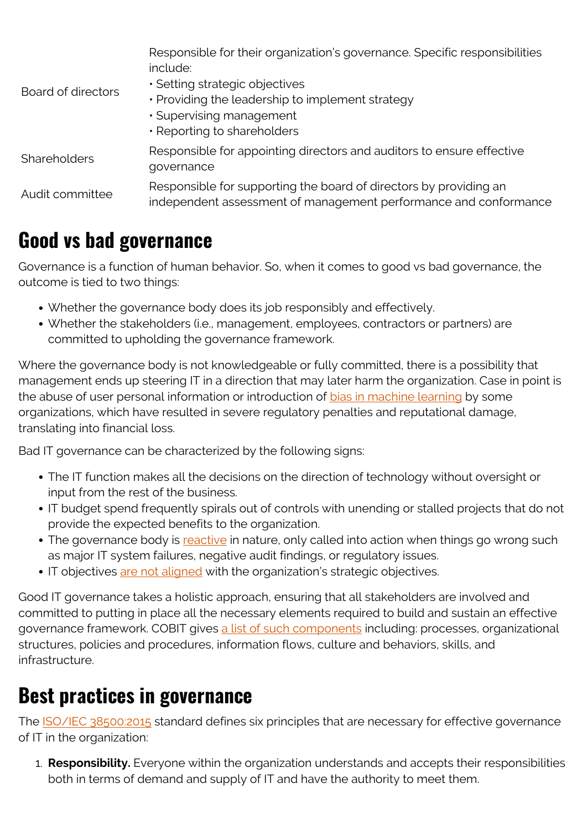| Board of directors  | Responsible for their organization's governance. Specific responsibilities<br>include:<br>· Setting strategic objectives<br>· Providing the leadership to implement strategy<br>· Supervising management<br>. Reporting to shareholders |
|---------------------|-----------------------------------------------------------------------------------------------------------------------------------------------------------------------------------------------------------------------------------------|
| <b>Shareholders</b> | Responsible for appointing directors and auditors to ensure effective<br>governance                                                                                                                                                     |
| Audit committee     | Responsible for supporting the board of directors by providing an<br>independent assessment of management performance and conformance                                                                                                   |

### **Good vs bad governance**

Governance is a function of human behavior. So, when it comes to good vs bad governance, the outcome is tied to two things:

- Whether the governance body does its job responsibly and effectively.
- Whether the stakeholders (i.e., management, employees, contractors or partners) are committed to upholding the governance framework.

Where the governance body is not knowledgeable or fully committed, there is a possibility that management ends up steering IT in a direction that may later harm the organization. Case in point is the abuse of user personal information or introduction of [bias in machine learning](https://blogs.bmc.com/blogs/bias-variance-machine-learning/) by some organizations, which have resulted in severe regulatory penalties and reputational damage, translating into financial loss.

Bad IT governance can be characterized by the following signs:

- The IT function makes all the decisions on the direction of technology without oversight or input from the rest of the business.
- IT budget spend frequently spirals out of controls with unending or stalled projects that do not provide the expected benefits to the organization.
- The governance body is [reactive](https://blogs.bmc.com/blogs/reactive-vs-proactive-problem-management/) in nature, only called into action when things go wrong such as major IT system failures, negative audit findings, or regulatory issues.
- IT objectives [are not aligned](https://blogs.bmc.com/blogs/it-business-alignment/) with the organization's strategic objectives.

Good IT governance takes a holistic approach, ensuring that all stakeholders are involved and committed to putting in place all the necessary elements required to build and sustain an effective governance framework. COBIT gives [a list of such components](https://www.isaca.org/resources/cobit) including: processes, organizational structures, policies and procedures, information flows, culture and behaviors, skills, and infrastructure.

### **Best practices in governance**

The [ISO/IEC 38500:2015](https://www.iso.org/obp/ui/#iso:std:iso-iec:38500:ed-2:v1:en) standard defines six principles that are necessary for effective governance of IT in the organization:

1. **Responsibility.** Everyone within the organization understands and accepts their responsibilities both in terms of demand and supply of IT and have the authority to meet them.